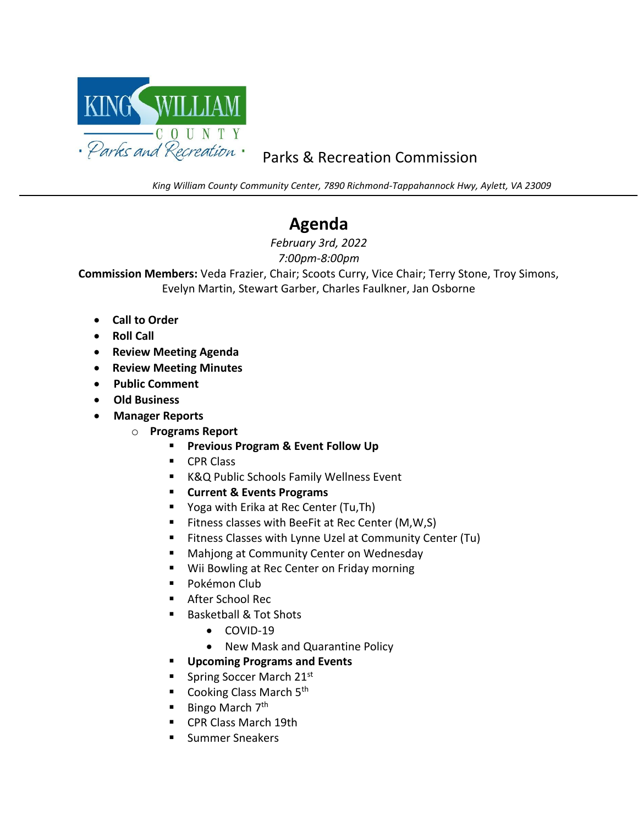

## Parks & Recreation Commission

*King William County Community Center, 7890 Richmond-Tappahannock Hwy, Aylett, VA 23009*

## **Agenda**

*February 3rd, 2022 7:00pm-8:00pm*

**Commission Members:** Veda Frazier, Chair; Scoots Curry, Vice Chair; Terry Stone, Troy Simons, Evelyn Martin, Stewart Garber, Charles Faulkner, Jan Osborne

- **Call to Order**
- **Roll Call**

- **Review Meeting Agenda**
- **Review Meeting Minutes**
- • **Public Comment**
- • **Old Business**
- • **Manager Reports**
	- o **Programs Report**
		- **Previous Program & Event Follow Up**
		- CPR Class
		- K&Q Public Schools Family Wellness Event
		- **Current & Events Programs**
		- Yoga with Erika at Rec Center (Tu, Th)
		- Fitness classes with BeeFit at Rec Center (M,W,S)
		- Fitness Classes with Lynne Uzel at Community Center (Tu)
		- Mahjong at Community Center on Wednesday
		- Wii Bowling at Rec Center on Friday morning
		- Pokémon Club
		- After School Rec
		- Basketball & Tot Shots
			- COVID-19
			- New Mask and Quarantine Policy
		- **Upcoming Programs and Events**
		- Spring Soccer March 21st
		- **Cooking Class March**  $5<sup>th</sup>$
		- Bingo March 7<sup>th</sup>
		- CPR Class March 19th
		- Summer Sneakers